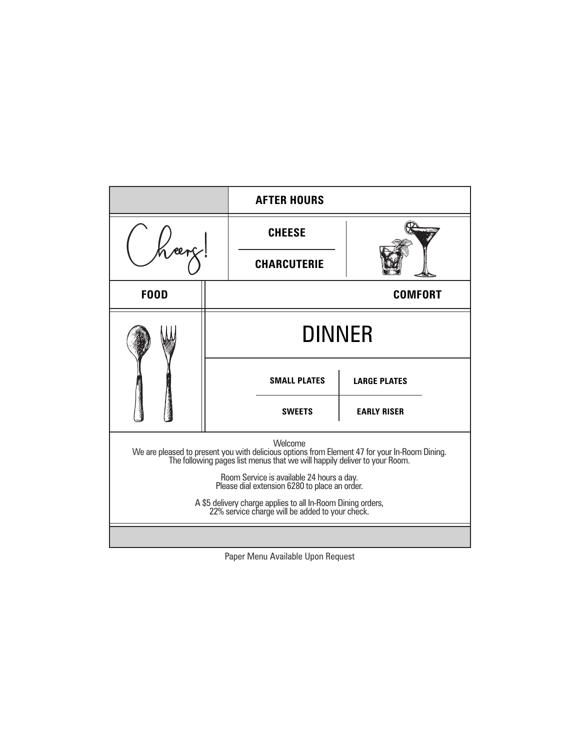|                                                                                                                                                                                       |                | <b>AFTER HOURS</b>  |                     |  |
|---------------------------------------------------------------------------------------------------------------------------------------------------------------------------------------|----------------|---------------------|---------------------|--|
|                                                                                                                                                                                       |                | <b>CHEESE</b>       |                     |  |
|                                                                                                                                                                                       |                | <b>CHARCUTERIE</b>  |                     |  |
| <b>FOOD</b>                                                                                                                                                                           | <b>COMFORT</b> |                     |                     |  |
|                                                                                                                                                                                       | <b>DINNER</b>  |                     |                     |  |
|                                                                                                                                                                                       |                | <b>SMALL PLATES</b> | <b>LARGE PLATES</b> |  |
|                                                                                                                                                                                       |                | <b>SWEETS</b>       | <b>EARLY RISER</b>  |  |
| Welcome<br>We are pleased to present you with delicious options from Element 47 for your In-Room Dining.<br>The following pages list menus that we will happily deliver to your Room. |                |                     |                     |  |
| Room Service is available 24 hours a day.<br>Please dial extension 6280 to place an order.                                                                                            |                |                     |                     |  |
| A \$5 delivery charge applies to all In-Room Dining orders,<br>22% service charge will be added to your check.                                                                        |                |                     |                     |  |
|                                                                                                                                                                                       |                |                     |                     |  |

Paper Menu Available Upon Request